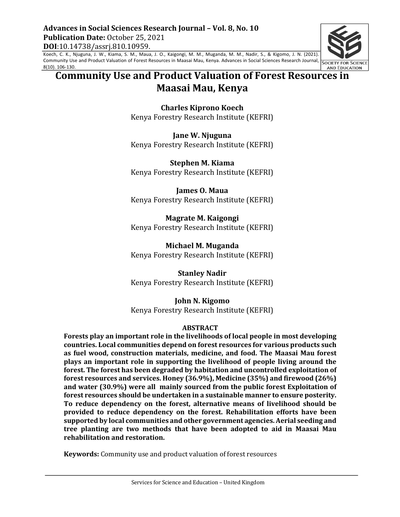Advances in Social Sciences Research Journal - Vol. 8, No. 10 **Publication Date:** October 25, 2021 **DOI**:10.14738/assrj.810.10959.

Koech, C. K., Njuguna, J. W., Kiama, S. M., Maua, J. O., Kaigongi, M. M., Muganda, M. M., Nadir, S., & Kigomo, J. N. (2021). Community Use and Product Valuation of Forest Resources in Maasai Mau, Kenya. Advances in Social Sciences Research Journal, 8(10). 106-130.

# **Community Use and Product Valuation of Forest Resources in Maasai Mau, Kenya**

**Charles Kiprono Koech** Kenya Forestry Research Institute (KEFRI)

**Jane W. Njuguna** Kenya Forestry Research Institute (KEFRI)

**Stephen M. Kiama** Kenya Forestry Research Institute (KEFRI)

**James O. Maua** Kenya Forestry Research Institute (KEFRI)

**Magrate M. Kaigongi** Kenya Forestry Research Institute (KEFRI)

**Michael M. Muganda** Kenya Forestry Research Institute (KEFRI)

**Stanley Nadir** Kenya Forestry Research Institute (KEFRI)

**John N. Kigomo** Kenya Forestry Research Institute (KEFRI)

### **ABSTRACT**

Forests play an important role in the livelihoods of local people in most developing countries. Local communities depend on forest resources for various products such as fuel wood, construction materials, medicine, and food. The Maasai Mau forest **plays** an important role in supporting the livelihood of people living around the forest. The forest has been degraded by habitation and uncontrolled exploitation of **forest resources and services. Honey (36.9%), Medicine (35%) and firewood (26%)** and water (30.9%) were all mainly sourced from the public forest Exploitation of forest resources should be undertaken in a sustainable manner to ensure posterity. To reduce dependency on the forest, alternative means of livelihood should be **provided to reduce dependency on the forest. Rehabilitation efforts have been** supported by local communities and other government agencies. Aerial seeding and **tree planting are two methods that have been adopted to aid in Maasai Mau rehabilitation and restoration.** 

**Keywords:** Community use and product valuation of forest resources

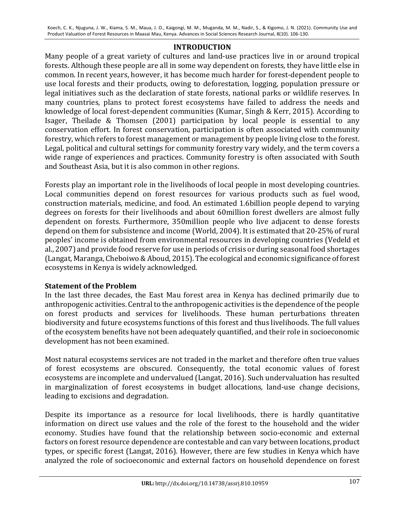## **INTRODUCTION**

Many people of a great variety of cultures and land-use practices live in or around tropical forests. Although these people are all in some way dependent on forests, they have little else in common. In recent years, however, it has become much harder for forest-dependent people to use local forests and their products, owing to deforestation, logging, population pressure or legal initiatives such as the declaration of state forests, national parks or wildlife reserves. In many countries, plans to protect forest ecosystems have failed to address the needs and knowledge of local forest-dependent communities (Kumar, Singh & Kerr, 2015). According to Isager, Theilade & Thomsen (2001) participation by local people is essential to any conservation effort. In forest conservation, participation is often associated with community forestry, which refers to forest management or management by people living close to the forest. Legal, political and cultural settings for community forestry vary widely, and the term covers a wide range of experiences and practices. Community forestry is often associated with South and Southeast Asia, but it is also common in other regions.

Forests play an important role in the livelihoods of local people in most developing countries. Local communities depend on forest resources for various products such as fuel wood, construction materials, medicine, and food. An estimated 1.6billion people depend to varying degrees on forests for their livelihoods and about 60million forest dwellers are almost fully dependent on forests. Furthermore, 350million people who live adjacent to dense forests depend on them for subsistence and income (World, 2004). It is estimated that 20-25% of rural peoples' income is obtained from environmental resources in developing countries (Vedeld et al., 2007) and provide food reserve for use in periods of crisis or during seasonal food shortages (Langat, Maranga, Cheboiwo & Aboud, 2015). The ecological and economic significance of forest ecosystems in Kenya is widely acknowledged.

# **Statement of the Problem**

In the last three decades, the East Mau forest area in Kenya has declined primarily due to anthropogenic activities. Central to the anthropogenic activities is the dependence of the people on forest products and services for livelihoods. These human perturbations threaten biodiversity and future ecosystems functions of this forest and thus livelihoods. The full values of the ecosystem benefits have not been adequately quantified, and their role in socioeconomic development has not been examined.

Most natural ecosystems services are not traded in the market and therefore often true values of forest ecosystems are obscured. Consequently, the total economic values of forest ecosystems are incomplete and undervalued (Langat, 2016). Such undervaluation has resulted in marginalization of forest ecosystems in budget allocations, land-use change decisions, leading to excisions and degradation.

Despite its importance as a resource for local livelihoods, there is hardly quantitative information on direct use values and the role of the forest to the household and the wider economy. Studies have found that the relationship between socio-economic and external factors on forest resource dependence are contestable and can vary between locations, product types, or specific forest (Langat, 2016). However, there are few studies in Kenya which have analyzed the role of socioeconomic and external factors on household dependence on forest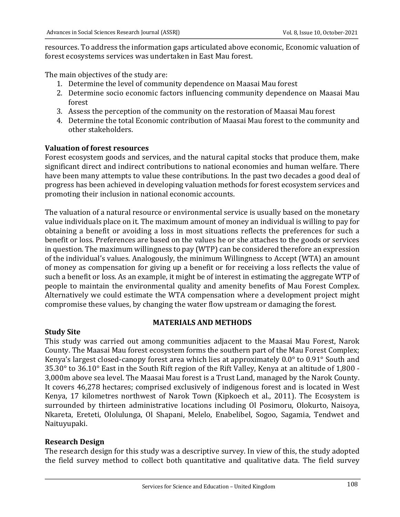resources. To address the information gaps articulated above economic, Economic valuation of forest ecosystems services was undertaken in East Mau forest.

The main objectives of the study are:

- 1. Determine the level of community dependence on Maasai Mau forest
- 2. Determine socio economic factors influencing community dependence on Maasai Mau forest
- 3. Assess the perception of the community on the restoration of Maasai Mau forest
- 4. Determine the total Economic contribution of Maasai Mau forest to the community and other stakeholders.

### **Valuation of forest resources**

Forest ecosystem goods and services, and the natural capital stocks that produce them, make significant direct and indirect contributions to national economies and human welfare. There have been many attempts to value these contributions. In the past two decades a good deal of progress has been achieved in developing valuation methods for forest ecosystem services and promoting their inclusion in national economic accounts.

The valuation of a natural resource or environmental service is usually based on the monetary value individuals place on it. The maximum amount of money an individual is willing to pay for obtaining a benefit or avoiding a loss in most situations reflects the preferences for such a benefit or loss. Preferences are based on the values he or she attaches to the goods or services in question. The maximum willingness to pay (WTP) can be considered therefore an expression of the individual's values. Analogously, the minimum Willingness to Accept (WTA) an amount of money as compensation for giving up a benefit or for receiving a loss reflects the value of such a benefit or loss. As an example, it might be of interest in estimating the aggregate WTP of people to maintain the environmental quality and amenity benefits of Mau Forest Complex. Alternatively we could estimate the WTA compensation where a development project might compromise these values, by changing the water flow upstream or damaging the forest.

### **MATERIALS AND METHODS**

### **Study Site**

This study was carried out among communities adjacent to the Maasai Mau Forest, Narok County. The Maasai Mau forest ecosystem forms the southern part of the Mau Forest Complex; Kenya's largest closed-canopy forest area which lies at approximately  $0.0^{\circ}$  to  $0.91^{\circ}$  South and  $35.30^{\circ}$  to  $36.10^{\circ}$  East in the South Rift region of the Rift Valley, Kenya at an altitude of 1,800 -3,000m above sea level. The Maasai Mau forest is a Trust Land, managed by the Narok County. It covers 46,278 hectares; comprised exclusively of indigenous forest and is located in West Kenya, 17 kilometres northwest of Narok Town (Kipkoech et al., 2011). The Ecosystem is surrounded by thirteen administrative locations including Ol Posimoru, Olokurto, Naisoya, Nkareta, Ereteti, Ololulunga, Ol Shapani, Melelo, Enabelibel, Sogoo, Sagamia, Tendwet and Naituyupaki. 

### **Research Design**

The research design for this study was a descriptive survey. In view of this, the study adopted the field survey method to collect both quantitative and qualitative data. The field survey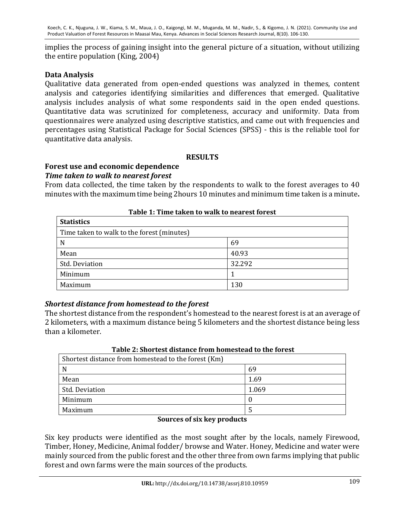implies the process of gaining insight into the general picture of a situation, without utilizing the entire population  $(King, 2004)$ 

## **Data Analysis**

Qualitative data generated from open-ended questions was analyzed in themes, content analysis and categories identifying similarities and differences that emerged. Qualitative analysis includes analysis of what some respondents said in the open ended questions. Quantitative data was scrutinized for completeness, accuracy and uniformity. Data from questionnaires were analyzed using descriptive statistics, and came out with frequencies and percentages using Statistical Package for Social Sciences (SPSS) - this is the reliable tool for quantitative data analysis.

### **RESULTS**

# Forest use and economic dependence

### **Time taken to walk to nearest forest**

From data collected, the time taken by the respondents to walk to the forest averages to 40 minutes with the maximum time being 2hours 10 minutes and minimum time taken is a minute.

| <b>Statistics</b>                          |        |
|--------------------------------------------|--------|
| Time taken to walk to the forest (minutes) |        |
| N                                          | 69     |
| Mean                                       | 40.93  |
| <b>Std. Deviation</b>                      | 32.292 |
| Minimum                                    |        |
| Maximum                                    | 130    |

### **Table 1: Time taken to walk to nearest forest**

## *Shortest distance from homestead to the forest*

The shortest distance from the respondent's homestead to the nearest forest is at an average of 2 kilometers, with a maximum distance being 5 kilometers and the shortest distance being less than a kilometer.

| Tuble 41 blivi test ulstance il vill homesteau to the IVI est |       |  |
|---------------------------------------------------------------|-------|--|
| Shortest distance from homestead to the forest (Km)           |       |  |
| N                                                             | 69    |  |
| Mean                                                          | 1.69  |  |
| Std. Deviation                                                | 1.069 |  |
| Minimum                                                       |       |  |
| Maximum                                                       |       |  |
|                                                               |       |  |

### **Table 2: Shortest distance from homestead to the forest**

### **Sources of six key products**

Six key products were identified as the most sought after by the locals, namely Firewood, Timber, Honey, Medicine, Animal fodder/ browse and Water. Honey, Medicine and water were mainly sourced from the public forest and the other three from own farms implying that public forest and own farms were the main sources of the products.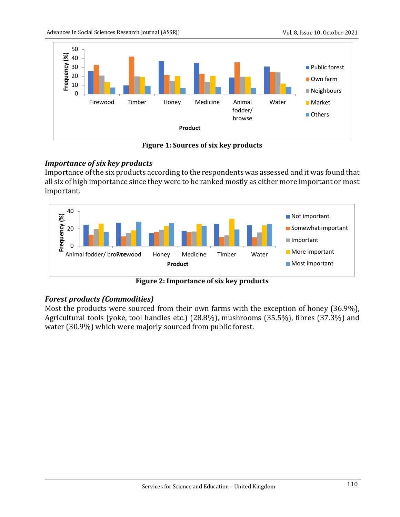

**Figure 1: Sources of six key products** 

# *Importance of six key products*

Importance of the six products according to the respondents was assessed and it was found that all six of high importance since they were to be ranked mostly as either more important or most important.



**Figure 2: Importance of six key products** 

# *Forest products (Commodities)*

Most the products were sourced from their own farms with the exception of honey (36.9%), Agricultural tools (yoke, tool handles etc.) (28.8%), mushrooms (35.5%), fibres (37.3%) and water (30.9%) which were majorly sourced from public forest.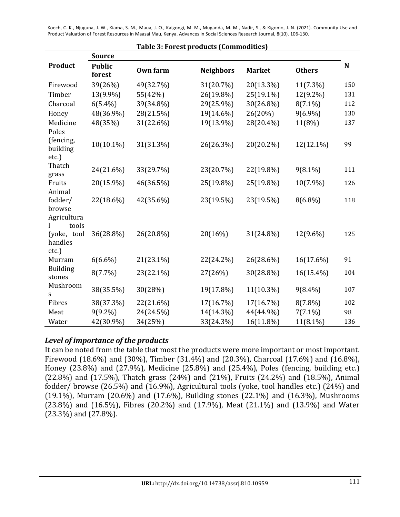| <b>Table 3: Forest products (Commodities)</b> |                         |                 |                  |               |               |             |
|-----------------------------------------------|-------------------------|-----------------|------------------|---------------|---------------|-------------|
|                                               | <b>Source</b>           |                 |                  |               |               |             |
| Product                                       | <b>Public</b><br>forest | <b>Own farm</b> | <b>Neighbors</b> | <b>Market</b> | <b>Others</b> | $\mathbf N$ |
| Firewood                                      | 39(26%)                 | 49(32.7%)       | 31(20.7%)        | 20(13.3%)     | 11(7.3%)      | 150         |
| Timber                                        | 13(9.9%)                | 55(42%)         | 26(19.8%)        | 25(19.1%)     | 12(9.2%)      | 131         |
| Charcoal                                      | $6(5.4\%)$              | 39(34.8%)       | 29(25.9%)        | 30(26.8%)     | $8(7.1\%)$    | 112         |
| Honey                                         | 48(36.9%)               | 28(21.5%)       | 19(14.6%)        | 26(20%)       | $9(6.9\%)$    | 130         |
| Medicine                                      | 48(35%)                 | 31(22.6%)       | 19(13.9%)        | 28(20.4%)     | 11(8%)        | 137         |
| Poles                                         |                         |                 |                  |               |               |             |
| (fencing,<br>building                         | $10(10.1\%)$            | 31(31.3%)       | 26(26.3%)        | 20(20.2%)     | 12(12.1%)     | 99          |
| etc.)                                         |                         |                 |                  |               |               |             |
| Thatch                                        | 24(21.6%)               | 33(29.7%)       | 23(20.7%)        | 22(19.8%)     | $9(8.1\%)$    | 111         |
| grass<br>Fruits                               | 20(15.9%)               | 46(36.5%)       | 25(19.8%)        | 25(19.8%)     | 10(7.9%)      | 126         |
| Animal                                        |                         |                 |                  |               |               |             |
| fodder/                                       | 22(18.6%)               | 42(35.6%)       | 23(19.5%)        | 23(19.5%)     | 8(6.8%)       | 118         |
| browse                                        |                         |                 |                  |               |               |             |
| Agricultura                                   |                         |                 |                  |               |               |             |
| tools                                         |                         |                 |                  |               |               |             |
| (yoke, tool                                   | 36(28.8%)               | 26(20.8%)       | 20(16%)          | 31(24.8%)     | 12(9.6%)      | 125         |
| handles<br>etc.)                              |                         |                 |                  |               |               |             |
| Murram                                        | $6(6.6\%)$              | 21(23.1%)       | 22(24.2%)        | 26(28.6%)     | 16(17.6%)     | 91          |
| <b>Building</b>                               |                         |                 |                  |               |               |             |
| stones                                        | 8(7.7%)                 | 23(22.1%)       | 27(26%)          | 30(28.8%)     | 16(15.4%)     | 104         |
| Mushroom                                      |                         |                 |                  |               |               |             |
| S                                             | 38(35.5%)               | 30(28%)         | 19(17.8%)        | 11(10.3%)     | $9(8.4\%)$    | 107         |
| Fibres                                        | 38(37.3%)               | 22(21.6%)       | 17(16.7%)        | 17(16.7%)     | $8(7.8\%)$    | 102         |
| Meat                                          | $9(9.2\%)$              | 24(24.5%)       | 14(14.3%)        | 44(44.9%)     | $7(7.1\%)$    | 98          |
| Water                                         | 42(30.9%)               | 34(25%)         | 33(24.3%)        | 16(11.8%)     | 11(8.1%)      | 136         |

## Level of importance of the products

It can be noted from the table that most the products were more important or most important. Firewood  $(18.6\%)$  and  $(30\%)$ , Timber  $(31.4\%)$  and  $(20.3\%)$ , Charcoal  $(17.6\%)$  and  $(16.8\%)$ , Honey  $(23.8\%)$  and  $(27.9\%)$ , Medicine  $(25.8\%)$  and  $(25.4\%)$ , Poles (fencing, building etc.) (22.8%) and (17.5%), Thatch grass (24%) and (21%), Fruits (24.2%) and (18.5%), Animal fodder/ browse (26.5%) and (16.9%), Agricultural tools (yoke, tool handles etc.) (24%) and (19.1%), Murram (20.6%) and (17.6%), Building stones (22.1%) and (16.3%), Mushrooms  $(23.8%)$  and  $(16.5%)$ , Fibres  $(20.2%)$  and  $(17.9%)$ , Meat  $(21.1%)$  and  $(13.9%)$  and Water  $(23.3\%)$  and  $(27.8\%)$ .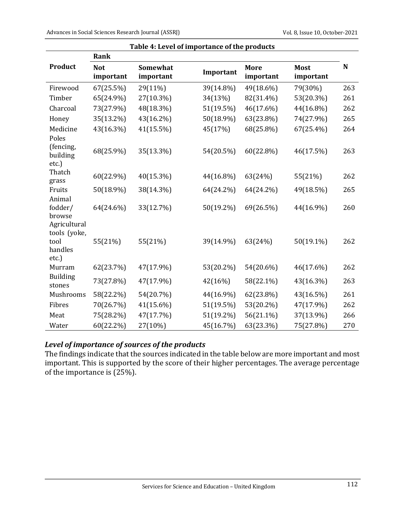| Table 4: Level of importance of the products |                         |                       |           |                   |                          |             |
|----------------------------------------------|-------------------------|-----------------------|-----------|-------------------|--------------------------|-------------|
|                                              | Rank                    |                       |           |                   |                          |             |
| <b>Product</b>                               | <b>Not</b><br>important | Somewhat<br>important | Important | More<br>important | <b>Most</b><br>important | $\mathbf N$ |
| Firewood                                     | 67(25.5%)               | 29(11%)               | 39(14.8%) | 49(18.6%)         | 79(30%)                  | 263         |
| Timber                                       | 65(24.9%)               | 27(10.3%)             | 34(13%)   | 82(31.4%)         | 53(20.3%)                | 261         |
| Charcoal                                     | 73(27.9%)               | 48(18.3%)             | 51(19.5%) | 46(17.6%)         | 44(16.8%)                | 262         |
| Honey                                        | 35(13.2%)               | 43(16.2%)             | 50(18.9%) | 63(23.8%)         | 74(27.9%)                | 265         |
| Medicine                                     | 43(16.3%)               | 41(15.5%)             | 45(17%)   | 68(25.8%)         | 67(25.4%)                | 264         |
| Poles<br>(fencing,<br>building<br>$etc.$ )   | 68(25.9%)               | 35(13.3%)             | 54(20.5%) | 60(22.8%)         | 46(17.5%)                | 263         |
| Thatch<br>grass                              | 60(22.9%)               | 40(15.3%)             | 44(16.8%) | 63(24%)           | 55(21%)                  | 262         |
| Fruits                                       | 50(18.9%)               | 38(14.3%)             | 64(24.2%) | 64(24.2%)         | 49(18.5%)                | 265         |
| Animal<br>fodder/<br>browse<br>Agricultural  | 64(24.6%)               | 33(12.7%)             | 50(19.2%) | 69(26.5%)         | 44(16.9%)                | 260         |
| tools (yoke,<br>tool<br>handles<br>etc.)     | 55(21%)                 | 55(21%)               | 39(14.9%) | 63(24%)           | 50(19.1%)                | 262         |
| Murram                                       | 62(23.7%)               | 47(17.9%)             | 53(20.2%) | 54(20.6%)         | 46(17.6%)                | 262         |
| <b>Building</b><br>stones                    | 73(27.8%)               | 47(17.9%)             | 42(16%)   | 58(22.1%)         | 43(16.3%)                | 263         |
| Mushrooms                                    | 58(22.2%)               | 54(20.7%)             | 44(16.9%) | 62(23.8%)         | 43(16.5%)                | 261         |
| Fibres                                       | 70(26.7%)               | 41(15.6%)             | 51(19.5%) | 53(20.2%)         | 47(17.9%)                | 262         |
| Meat                                         | 75(28.2%)               | 47(17.7%)             | 51(19.2%) | 56(21.1%)         | 37(13.9%)                | 266         |
| Water                                        | 60(22.2%)               | 27(10%)               | 45(16.7%) | 63(23.3%)         | 75(27.8%)                | 270         |

# Level of importance of sources of the products

The findings indicate that the sources indicated in the table below are more important and most important. This is supported by the score of their higher percentages. The average percentage of the importance is (25%).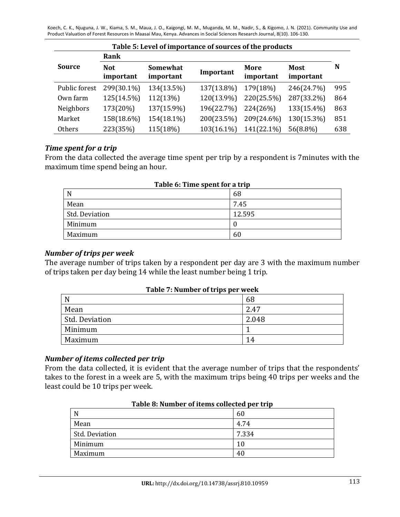|               | Rank                    |                       |            |                   |                          |     |
|---------------|-------------------------|-----------------------|------------|-------------------|--------------------------|-----|
| <b>Source</b> | <b>Not</b><br>important | Somewhat<br>important | Important  | More<br>important | <b>Most</b><br>important | N   |
| Public forest | 299(30.1%)              | 134(13.5%)            | 137(13.8%) | 179(18%)          | 246(24.7%)               | 995 |
| Own farm      | 125(14.5%)              | 112(13%)              | 120(13.9%) | 220(25.5%)        | 287(33.2%)               | 864 |
| Neighbors     | 173(20%)                | 137(15.9%)            | 196(22.7%) | 224(26%)          | 133(15.4%)               | 863 |
| Market        | 158(18.6%)              | 154(18.1%)            | 200(23.5%) | 209(24.6%)        | 130(15.3%)               | 851 |
| Others        | 223(35%)                | 115(18%)              | 103(16.1%) | 141(22.1%)        | 56(8.8%)                 | 638 |

### *Time spent for a trip*

From the data collected the average time spent per trip by a respondent is 7minutes with the maximum time spend being an hour.

| 68     |  |  |  |
|--------|--|--|--|
| 7.45   |  |  |  |
| 12.595 |  |  |  |
|        |  |  |  |
| 60     |  |  |  |
|        |  |  |  |

### **Table 6: Time spent for a trip**

### *Number of trips per week*

The average number of trips taken by a respondent per day are 3 with the maximum number of trips taken per day being 14 while the least number being 1 trip.

| Table 7: Number of trips per week |  |
|-----------------------------------|--|
|-----------------------------------|--|

| N              | 68    |
|----------------|-------|
| Mean           | 2.47  |
| Std. Deviation | 2.048 |
| Minimum        |       |
| Maximum        | 14    |

### *Number of items collected per trip*

From the data collected, it is evident that the average number of trips that the respondents' takes to the forest in a week are 5, with the maximum trips being 40 trips per weeks and the least could be 10 trips per week.

| Table of Namber of Rems conceled per trip |       |  |
|-------------------------------------------|-------|--|
| N                                         | 60    |  |
| Mean                                      | 4.74  |  |
| Std. Deviation                            | 7.334 |  |
| Minimum                                   | 10    |  |
| Maximum                                   | 40    |  |

### Table **8:** Number of items collected ner trip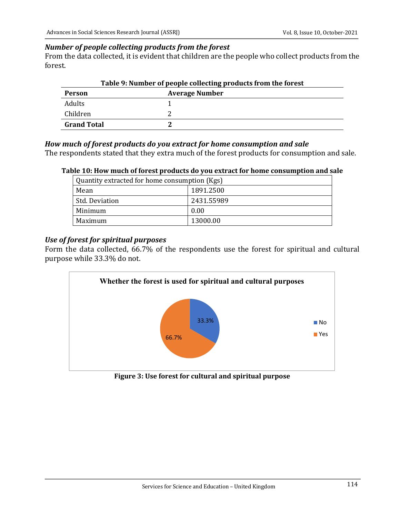### *Number of people collecting products from the forest*

From the data collected, it is evident that children are the people who collect products from the forest.

| Table 9: Number of people collecting products from the forest |                       |  |  |
|---------------------------------------------------------------|-----------------------|--|--|
| Person                                                        | <b>Average Number</b> |  |  |
| <b>Adults</b>                                                 |                       |  |  |
| Children                                                      |                       |  |  |
| <b>Grand Total</b>                                            |                       |  |  |

### *How much of forest products do you extract for home consumption and sale*

The respondents stated that they extra much of the forest products for consumption and sale.

### Table 10: How much of forest products do you extract for home consumption and sale

| Quantity extracted for home consumption (Kgs) |            |  |  |
|-----------------------------------------------|------------|--|--|
| Mean                                          | 1891.2500  |  |  |
| Std. Deviation                                | 2431.55989 |  |  |
| Minimum                                       | 0.00       |  |  |
| Maximum                                       | 13000.00   |  |  |

### Use of forest for spiritual purposes

Form the data collected, 66.7% of the respondents use the forest for spiritual and cultural purpose while 33.3% do not.



**Figure 3: Use forest for cultural and spiritual purpose**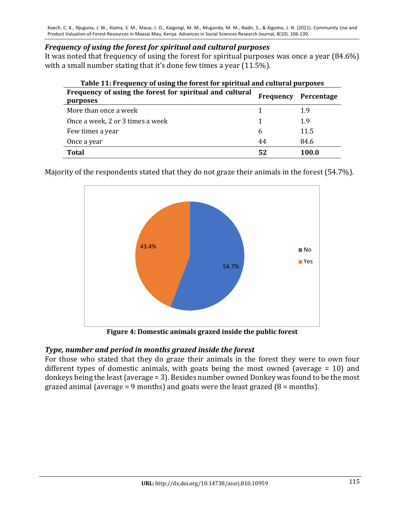## *Frequency of using the forest for spiritual and cultural purposes*

It was noted that frequency of using the forest for spiritual purposes was once a year  $(84.6\%)$ with a small number stating that it's done few times a year  $(11.5\%)$ .

| Frequency of using the forest for spiritual and cultural<br>purposes | Frequency | Percentage |
|----------------------------------------------------------------------|-----------|------------|
| More than once a week                                                |           | 1.9        |
| Once a week, 2 or 3 times a week                                     |           | 1.9        |
| Few times a year                                                     | 6         | 11.5       |
| Once a year                                                          | 44        | 84.6       |
| <b>Total</b>                                                         | 52        | 100.0      |

Majority of the respondents stated that they do not graze their animals in the forest (54.7%).



Figure 4: Domestic animals grazed inside the public forest

## Type, number and period in months grazed inside the forest

For those who stated that they do graze their animals in the forest they were to own four different types of domestic animals, with goats being the most owned (average  $= 10$ ) and donkeys being the least (average  $= 3$ ). Besides number owned Donkey was found to be the most grazed animal (average = 9 months) and goats were the least grazed  $(8 =$  months).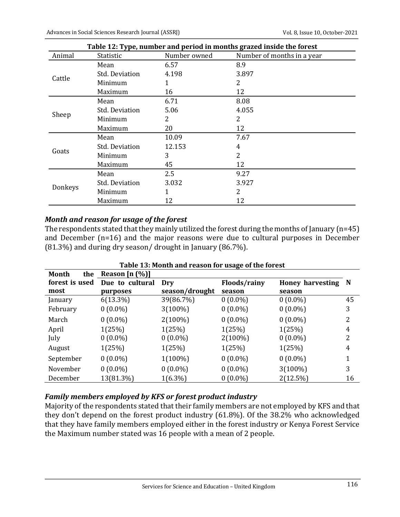|         | Table 12: Type, number and period in months grazed inside the forest |              |                            |  |  |  |  |
|---------|----------------------------------------------------------------------|--------------|----------------------------|--|--|--|--|
| Animal  | Statistic                                                            | Number owned | Number of months in a year |  |  |  |  |
|         | Mean                                                                 | 6.57         | 8.9                        |  |  |  |  |
|         | <b>Std. Deviation</b>                                                | 4.198        | 3.897                      |  |  |  |  |
| Cattle  | Minimum                                                              | 1            | 2                          |  |  |  |  |
|         | Maximum                                                              | 16           | 12                         |  |  |  |  |
|         | Mean                                                                 | 6.71         | 8.08                       |  |  |  |  |
| Sheep   | <b>Std. Deviation</b>                                                | 5.06         | 4.055                      |  |  |  |  |
|         | Minimum                                                              | 2            | 2                          |  |  |  |  |
|         | Maximum                                                              | 20           | 12                         |  |  |  |  |
|         | Mean                                                                 | 10.09        | 7.67                       |  |  |  |  |
|         | Std. Deviation                                                       | 12.153       | 4                          |  |  |  |  |
| Goats   | Minimum                                                              | 3            | 2                          |  |  |  |  |
|         | Maximum                                                              | 45           | 12                         |  |  |  |  |
|         | Mean                                                                 | 2.5          | 9.27                       |  |  |  |  |
|         | <b>Std. Deviation</b>                                                | 3.032        | 3.927                      |  |  |  |  |
| Donkeys | Minimum                                                              |              | 2                          |  |  |  |  |
|         | Maximum                                                              | 12           | 12                         |  |  |  |  |

### *Month and reason for usage of the forest*

The respondents stated that they mainly utilized the forest during the months of January (n=45) and December  $(n=16)$  and the major reasons were due to cultural purposes in December  $(81.3\%)$  and during dry season/ drought in January  $(86.7\%)$ .

| Table 13: Month and reason for usage of the forest |                  |                |              |                    |    |  |
|----------------------------------------------------|------------------|----------------|--------------|--------------------|----|--|
| the<br>Month                                       | Reason $[n (%)]$ |                |              |                    |    |  |
| forest is used                                     | Due to cultural  | Dry            | Floods/rainy | Honey harvesting N |    |  |
| most                                               | purposes         | season/drought | season       | season             |    |  |
| January                                            | $6(13.3\%)$      | 39(86.7%)      | $0(0.0\%)$   | $0(0.0\%)$         | 45 |  |
| February                                           | $0(0.0\%)$       | $3(100\%)$     | $0(0.0\%)$   | $0(0.0\%)$         | 3  |  |
| March                                              | $0(0.0\%)$       | $2(100\%)$     | $0(0.0\%)$   | $0(0.0\%)$         | 2  |  |
| April                                              | 1(25%)           | 1(25%)         | 1(25%)       | 1(25%)             | 4  |  |
| July                                               | $0(0.0\%)$       | $0(0.0\%)$     | $2(100\%)$   | $0(0.0\%)$         | 2  |  |
| August                                             | 1(25%)           | 1(25%)         | 1(25%)       | 1(25%)             | 4  |  |
| September                                          | $0(0.0\%)$       | $1(100\%)$     | $0(0.0\%)$   | $0(0.0\%)$         | 1  |  |
| November                                           | $0(0.0\%)$       | $0(0.0\%)$     | $0(0.0\%)$   | $3(100\%)$         | 3  |  |
| December                                           | 13(81.3%)        | $1(6.3\%)$     | $0(0.0\%)$   | 2(12.5%)           | 16 |  |

## Family members employed by KFS or forest product industry

Majority of the respondents stated that their family members are not employed by KFS and that they don't depend on the forest product industry (61.8%). Of the 38.2% who acknowledged that they have family members employed either in the forest industry or Kenya Forest Service the Maximum number stated was 16 people with a mean of 2 people.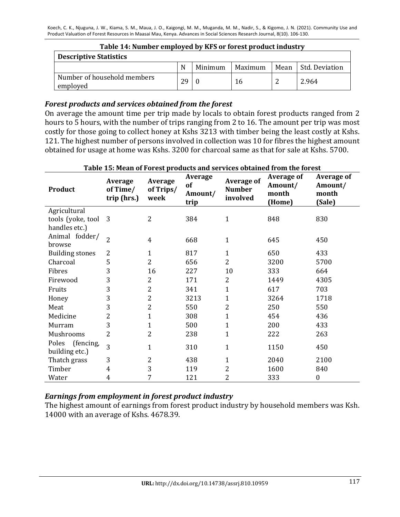| Table 14: Number employed by KFS or forest product industry |    |         |         |  |                     |  |
|-------------------------------------------------------------|----|---------|---------|--|---------------------|--|
| <b>Descriptive Statistics</b>                               |    |         |         |  |                     |  |
|                                                             | N  | Minimum | Maximum |  | Mean Std. Deviation |  |
| Number of household members<br>employed                     | 29 |         | 16      |  | 2.964               |  |

### Forest products and services obtained from the forest

On average the amount time per trip made by locals to obtain forest products ranged from 2 hours to 5 hours, with the number of trips ranging from 2 to 16. The amount per trip was most costly for those going to collect honey at Kshs 3213 with timber being the least costly at Kshs. 121. The highest number of persons involved in collection was 10 for fibres the highest amount obtained for usage at home was Kshs. 3200 for charcoal same as that for sale at Kshs. 5700.

| <b>Product</b>                                       | <b>Average</b><br>of Time/<br>trip (hrs.) | <b>Average</b><br>of Trips/<br>week | Average<br>of<br>Amount/<br>trip | <b>Average of</b><br><b>Number</b><br>involved | <b>Average of</b><br>Amount/<br>month<br>(Home) | <b>Average of</b><br>Amount/<br>month<br>(Sale) |
|------------------------------------------------------|-------------------------------------------|-------------------------------------|----------------------------------|------------------------------------------------|-------------------------------------------------|-------------------------------------------------|
| Agricultural<br>tools (yoke, tool 3<br>handles etc.) |                                           | $\overline{2}$                      | 384                              | $\mathbf{1}$                                   | 848                                             | 830                                             |
| Animal fodder/<br>browse                             | $\overline{2}$                            | 4                                   | 668                              | $\mathbf{1}$                                   | 645                                             | 450                                             |
| <b>Building stones</b>                               | 2                                         | $\mathbf{1}$                        | 817                              | $\mathbf{1}$                                   | 650                                             | 433                                             |
| Charcoal                                             | 5                                         | 2                                   | 656                              | $\overline{2}$                                 | 3200                                            | 5700                                            |
| Fibres                                               | 3                                         | 16                                  | 227                              | 10                                             | 333                                             | 664                                             |
| Firewood                                             | 3                                         | 2                                   | 171                              | 2                                              | 1449                                            | 4305                                            |
| Fruits                                               | 3                                         | 2                                   | 341                              | 1                                              | 617                                             | 703                                             |
| Honey                                                | 3                                         | 2                                   | 3213                             | 1                                              | 3264                                            | 1718                                            |
| Meat                                                 | 3                                         | 2                                   | 550                              | 2                                              | 250                                             | 550                                             |
| Medicine                                             | 2                                         | $\mathbf{1}$                        | 308                              | 1                                              | 454                                             | 436                                             |
| Murram                                               | 3                                         | $\mathbf{1}$                        | 500                              | 1                                              | 200                                             | 433                                             |
| Mushrooms                                            | 2                                         | 2                                   | 238                              | 1                                              | 222                                             | 263                                             |
| (fencing,<br>Poles<br>building etc.)                 | 3                                         | $\mathbf{1}$                        | 310                              | $\mathbf{1}$                                   | 1150                                            | 450                                             |
| Thatch grass                                         | 3                                         | 2                                   | 438                              | $\mathbf 1$                                    | 2040                                            | 2100                                            |
| Timber                                               | 4                                         | 3                                   | 119                              | 2                                              | 1600                                            | 840                                             |
| Water                                                | 4                                         | 7                                   | 121                              | 2                                              | 333                                             | $\boldsymbol{0}$                                |

#### Table 15: Mean of Forest products and services obtained from the forest

### *Earnings from employment in forest product industry*

The highest amount of earnings from forest product industry by household members was Ksh. 14000 with an average of Kshs. 4678.39.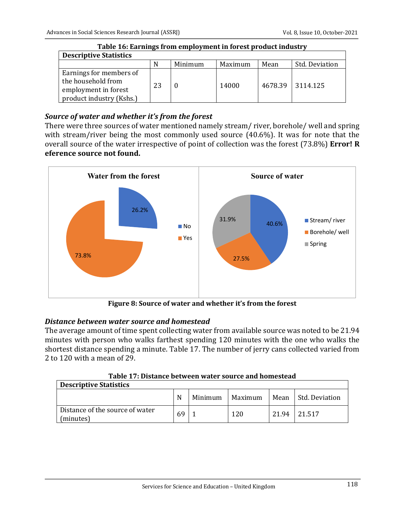| Table To: Eal mil <u>e</u> s II oni employment in forest product muusti v                         |    |         |         |      |                  |  |
|---------------------------------------------------------------------------------------------------|----|---------|---------|------|------------------|--|
| <b>Descriptive Statistics</b>                                                                     |    |         |         |      |                  |  |
|                                                                                                   | N  | Minimum | Maximum | Mean | Std. Deviation   |  |
| Earnings for members of<br>the household from<br>employment in forest<br>product industry (Kshs.) | 23 |         | 14000   |      | 4678.39 3114.125 |  |

# **Table 16: Farnings from amployment in forest product industry**

# Source of water and whether it's from the forest

There were three sources of water mentioned namely stream/ river, borehole/ well and spring with stream/river being the most commonly used source (40.6%). It was for note that the overall source of the water irrespective of point of collection was the forest (73.8%) **Error!** R **eference source not found.** 



Figure 8: Source of water and whether it's from the forest

## *Distance between water source and homestead*

The average amount of time spent collecting water from available source was noted to be 21.94 minutes with person who walks farthest spending 120 minutes with the one who walks the shortest distance spending a minute. Table 17. The number of jerry cans collected varied from 2 to 120 with a mean of 29.

| Table 17: Distance between water source and homestead |
|-------------------------------------------------------|
|-------------------------------------------------------|

| <b>Descriptive Statistics</b>                  |    |         |         |       |                       |  |
|------------------------------------------------|----|---------|---------|-------|-----------------------|--|
|                                                | N  | Minimum | Maximum |       | Mean   Std. Deviation |  |
| l Distance of the source of water<br>(minutes) | 69 |         | 120     | 21.94 | 21.517                |  |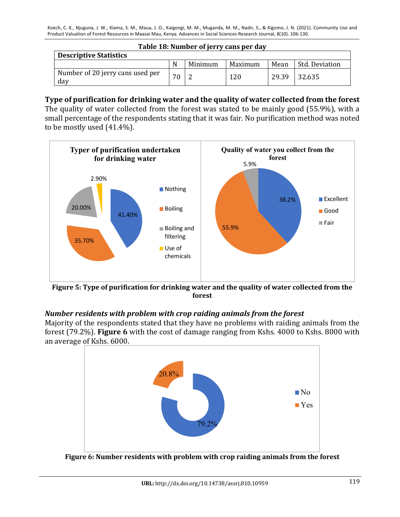| Table 18: Number of jerry cans per day  |    |         |         |       |                |  |
|-----------------------------------------|----|---------|---------|-------|----------------|--|
| <b>Descriptive Statistics</b>           |    |         |         |       |                |  |
|                                         | N  | Minimum | Maximum | Mean  | Std. Deviation |  |
| Number of 20 jerry cans used per<br>dav | 70 |         | 120     | 29.39 | 32.635         |  |

### **Type of purification for drinking water and the quality of water collected from the forest**

The quality of water collected from the forest was stated to be mainly good (55.9%), with a small percentage of the respondents stating that it was fair. No purification method was noted to be mostly used  $(41.4\%)$ .



Figure 5: Type of purification for drinking water and the quality of water collected from the **forest**

## *Number residents with problem with crop raiding animals from the forest*

Majority of the respondents stated that they have no problems with raiding animals from the forest (79.2%). Figure 6 with the cost of damage ranging from Kshs. 4000 to Kshs. 8000 with an average of Kshs. 6000.



**Figure 6: Number residents with problem with crop raiding animals from the forest**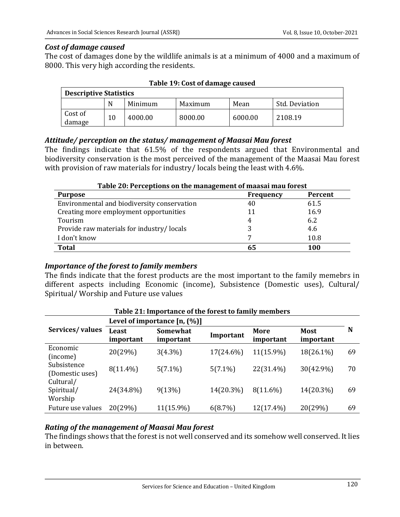### *Cost of damage caused*

The cost of damages done by the wildlife animals is at a minimum of 4000 and a maximum of 8000. This very high according the residents.

| <b>Descriptive Statistics</b> |    |         |         |         |                |  |  |
|-------------------------------|----|---------|---------|---------|----------------|--|--|
|                               | N  | Minimum | Maximum | Mean    | Std. Deviation |  |  |
| Cost of<br>damage             | 10 | 4000.00 | 8000.00 | 6000.00 | 2108.19        |  |  |

### **Table 19: Cost of damage caused**

### Attitude/ perception on the status/ management of Maasai Mau forest

The findings indicate that 61.5% of the respondents argued that Environmental and biodiversity conservation is the most perceived of the management of the Maasai Mau forest with provision of raw materials for industry/ locals being the least with  $4.6\%$ .

### Table 20: Perceptions on the management of maasai mau forest

| <b>Purpose</b>                              | <b>Frequency</b> | Percent |
|---------------------------------------------|------------------|---------|
| Environmental and biodiversity conservation | 40               | 61.5    |
| Creating more employment opportunities      | 11               | 16.9    |
| Tourism                                     |                  | 6.2     |
| Provide raw materials for industry/locals   |                  | 4.6     |
| I don't know                                |                  | 10.8    |
| <b>Total</b>                                | 65               | 100     |

### *Importance of the forest to family members*

The finds indicate that the forest products are the most important to the family memebrs in different aspects including Economic (income), Subsistence (Domestic uses), Cultural/ Spiritual/ Worship and Future use values

| Table 21: Importance of the forest to family members |                    |                                 |            |                   |                          |    |  |
|------------------------------------------------------|--------------------|---------------------------------|------------|-------------------|--------------------------|----|--|
|                                                      |                    | Level of importance $[n, (\%)]$ |            |                   |                          |    |  |
| Services/values                                      | Least<br>important | Somewhat<br>important           | Important  | More<br>important | <b>Most</b><br>important | N  |  |
| Economic<br>(income)                                 | 20(29%)            | $3(4.3\%)$                      | 17(24.6%)  | 11(15.9%)         | 18(26.1%)                | 69 |  |
| Subsistence<br>(Domestic uses)                       | 8(11.4%)           | $5(7.1\%)$                      | $5(7.1\%)$ | 22(31.4%)         | 30(42.9%)                | 70 |  |
| Cultural/<br>Spiritual/<br>Worship                   | 24(34.8%)          | 9(13%)                          | 14(20.3%)  | 8(11.6%)          | 14(20.3%)                | 69 |  |
| Future use values                                    | 20(29%)            | 11(15.9%)                       | 6(8.7%)    | 12(17.4%)         | 20(29%)                  | 69 |  |

## **Rating of the management of Maasai Mau forest**

The findings shows that the forest is not well conserved and its somehow well conserved. It lies in hetween.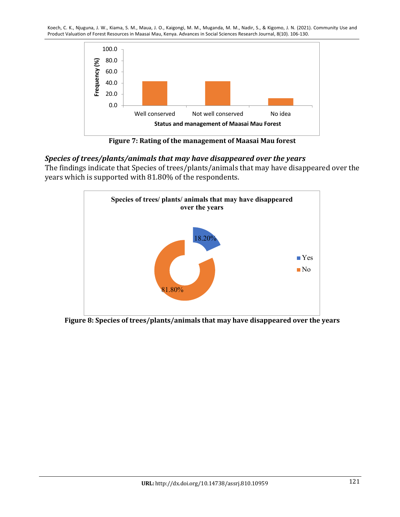

Figure 7: Rating of the management of Maasai Mau forest

## *Species of trees/plants/animals that may have disappeared over the years*

The findings indicate that Species of trees/plants/animals that may have disappeared over the years which is supported with 81.80% of the respondents.



Figure 8: Species of trees/plants/animals that may have disappeared over the years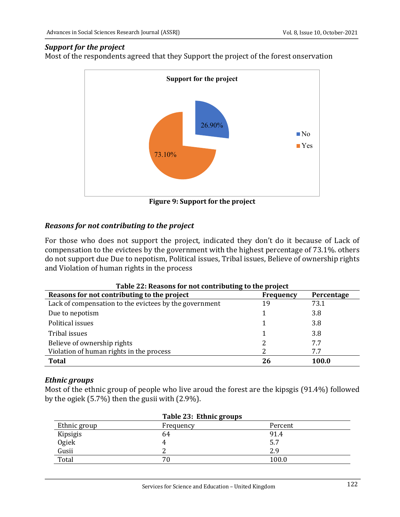### *Support for the project*

Most of the respondents agreed that they Support the project of the forest onservation



**Figure 9: Support for the project** 

# *Reasons for not contributing to the project*

For those who does not support the project, indicated they don't do it because of Lack of compensation to the evictees by the government with the highest percentage of 73.1%. others do not support due Due to nepotism, Political issues, Tribal issues, Believe of ownership rights and Violation of human rights in the process

| Table 22: Reasons for not contributing to the project  |           |            |  |  |  |
|--------------------------------------------------------|-----------|------------|--|--|--|
| Reasons for not contributing to the project            | Frequency | Percentage |  |  |  |
| Lack of compensation to the evictees by the government | 19        | 73.1       |  |  |  |
| Due to nepotism                                        |           | 3.8        |  |  |  |
| Political issues                                       |           | 3.8        |  |  |  |
| Tribal issues                                          |           | 3.8        |  |  |  |
| Believe of ownership rights                            |           | 7.7        |  |  |  |
| Violation of human rights in the process               |           | 7.7        |  |  |  |
| <b>Total</b>                                           | 26        | 100.0      |  |  |  |

## *Ethnic groups*

Most of the ethnic group of people who live aroud the forest are the kipsgis  $(91.4%)$  followed by the ogiek  $(5.7\%)$  then the gusii with  $(2.9\%)$ .

|              | Table 23: Ethnic groups |         |  |
|--------------|-------------------------|---------|--|
| Ethnic group | Frequency               | Percent |  |
| Kipsigis     | 64                      | 91.4    |  |
| Ogiek        |                         | 5.7     |  |
| Gusii        |                         | 2.9     |  |
| Total        | 70                      | 100.0   |  |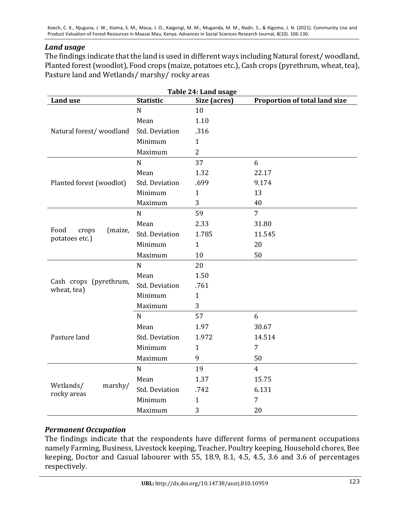### *Land usage*

The findings indicate that the land is used in different ways including Natural forest/woodland, Planted forest (woodlot), Food crops (maize, potatoes etc.), Cash crops (pyrethrum, wheat, tea), Pasture land and Wetlands/ marshy/ rocky areas

| Table 24: Land usage                  |                       |                |                               |  |
|---------------------------------------|-----------------------|----------------|-------------------------------|--|
| <b>Land use</b>                       | <b>Statistic</b>      | Size (acres)   | Proportion of total land size |  |
|                                       | $\mathbf N$           | 10             |                               |  |
|                                       | Mean                  | 1.10           |                               |  |
| Natural forest/woodland               | <b>Std. Deviation</b> | .316           |                               |  |
|                                       | Minimum               | $\mathbf{1}$   |                               |  |
|                                       | Maximum               | $\overline{2}$ |                               |  |
|                                       | $\mathbf N$           | 37             | 6                             |  |
|                                       | Mean                  | 1.32           | 22.17                         |  |
| Planted forest (woodlot)              | <b>Std. Deviation</b> | .699           | 9.174                         |  |
|                                       | Minimum               | $\mathbf{1}$   | 13                            |  |
|                                       | Maximum               | 3              | 40                            |  |
|                                       | $\mathbf N$           | 59             | $\overline{7}$                |  |
|                                       | Mean                  | 2.33           | 31.80                         |  |
| Food<br>(maize,<br>crops              | <b>Std. Deviation</b> | 1.785          | 11.545                        |  |
| potatoes etc.)                        | Minimum               | $\mathbf{1}$   | 20                            |  |
|                                       | Maximum               | 10             | 50                            |  |
|                                       | $\mathbf N$           | 20             |                               |  |
|                                       | Mean                  | 1.50           |                               |  |
| Cash crops (pyrethrum,<br>wheat, tea) | <b>Std. Deviation</b> | .761           |                               |  |
|                                       | Minimum               | $\mathbf{1}$   |                               |  |
|                                       | Maximum               | 3              |                               |  |
|                                       | $\mathbf N$           | 57             | 6                             |  |
|                                       | Mean                  | 1.97           | 30.67                         |  |
| Pasture land                          | <b>Std. Deviation</b> | 1.972          | 14.514                        |  |
|                                       | Minimum               | $\mathbf{1}$   | $\overline{7}$                |  |
|                                       | Maximum               | 9              | 50                            |  |
|                                       | $\mathbf N$           | 19             | $\overline{4}$                |  |
|                                       | Mean                  | 1.37           | 15.75                         |  |
| Wetlands/<br>marshy/                  | Std. Deviation        | .742           | 6.131                         |  |
| rocky areas                           | Minimum               | $\mathbf{1}$   | $\overline{7}$                |  |
|                                       | Maximum               | 3              | 20                            |  |

### *Permanent Occupation*

The findings indicate that the respondents have different forms of permanent occupations namely Farming, Business, Livestock keeping, Teacher, Poultry keeping, Household chores, Bee keeping, Doctor and Casual labourer with  $\overline{55}$ , 18.9, 8.1, 4.5, 4.5, 3.6 and 3.6 of percentages respectively.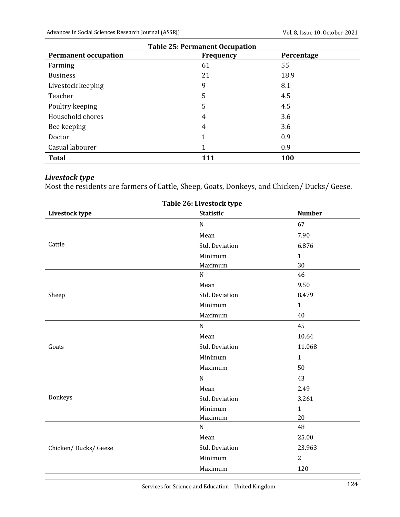| <b>Table 25: Permanent Occupation</b>                         |    |      |  |  |
|---------------------------------------------------------------|----|------|--|--|
| <b>Permanent occupation</b><br><b>Frequency</b><br>Percentage |    |      |  |  |
| Farming                                                       | 61 | 55   |  |  |
| <b>Business</b>                                               | 21 | 18.9 |  |  |
| Livestock keeping                                             | 9  | 8.1  |  |  |
| Teacher                                                       | 5  | 4.5  |  |  |
| Poultry keeping                                               | 5  | 4.5  |  |  |
| Household chores                                              | 4  | 3.6  |  |  |
| Bee keeping                                                   | 4  | 3.6  |  |  |
| Doctor                                                        |    | 0.9  |  |  |
| Casual labourer                                               |    | 0.9  |  |  |
| <b>Total</b><br>100<br>111                                    |    |      |  |  |

# *Livestock type*

Most the residents are farmers of Cattle, Sheep, Goats, Donkeys, and Chicken/ Ducks/ Geese.

| Table 26: Livestock type |                  |                |  |
|--------------------------|------------------|----------------|--|
| Livestock type           | <b>Statistic</b> | <b>Number</b>  |  |
|                          | ${\bf N}$        | 67             |  |
|                          | Mean             | 7.90           |  |
| Cattle                   | Std. Deviation   | 6.876          |  |
|                          | Minimum          | $\mathbf{1}$   |  |
|                          | Maximum          | 30             |  |
|                          | ${\bf N}$        | 46             |  |
|                          | Mean             | 9.50           |  |
| Sheep                    | Std. Deviation   | 8.479          |  |
|                          | Minimum          | $\mathbf{1}$   |  |
|                          | Maximum          | 40             |  |
|                          | ${\bf N}$        | 45             |  |
|                          | Mean             | 10.64          |  |
| Goats                    | Std. Deviation   | 11.068         |  |
|                          | Minimum          | $\mathbf{1}$   |  |
|                          | Maximum          | 50             |  |
|                          | N                | 43             |  |
|                          | Mean             | 2.49           |  |
| Donkeys                  | Std. Deviation   | 3.261          |  |
|                          | Minimum          | $\mathbf{1}$   |  |
|                          | Maximum          | 20             |  |
|                          | ${\bf N}$        | 48             |  |
|                          | Mean             | 25.00          |  |
| Chicken/Ducks/Geese      | Std. Deviation   | 23.963         |  |
|                          | Minimum          | $\overline{2}$ |  |
|                          | Maximum          | 120            |  |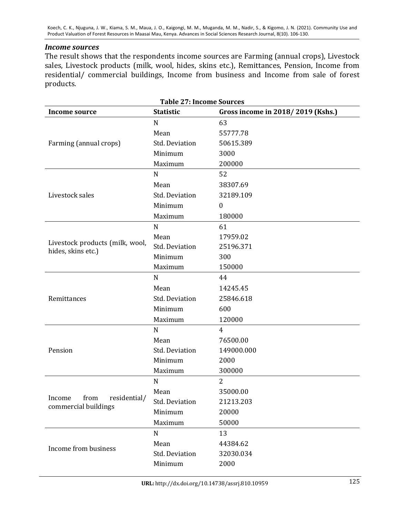### *Income sources*

The result shows that the respondents income sources are Farming (annual crops), Livestock sales, Livestock products (milk, wool, hides, skins etc.), Remittances, Pension, Income from residential/ commercial buildings, Income from business and Income from sale of forest products.

| <b>Table 27: Income Sources</b>                        |                       |                                   |  |  |
|--------------------------------------------------------|-----------------------|-----------------------------------|--|--|
| <b>Income source</b>                                   | <b>Statistic</b>      | Gross income in 2018/2019 (Kshs.) |  |  |
|                                                        | $\mathbf N$           | 63                                |  |  |
|                                                        | Mean                  | 55777.78                          |  |  |
| Farming (annual crops)                                 | <b>Std. Deviation</b> | 50615.389                         |  |  |
|                                                        | Minimum               | 3000                              |  |  |
|                                                        | Maximum               | 200000                            |  |  |
|                                                        | $\mathbf N$           | 52                                |  |  |
|                                                        | Mean                  | 38307.69                          |  |  |
| Livestock sales                                        | <b>Std. Deviation</b> | 32189.109                         |  |  |
|                                                        | Minimum               | $\theta$                          |  |  |
|                                                        | Maximum               | 180000                            |  |  |
|                                                        | $\mathbf N$           | 61                                |  |  |
|                                                        | Mean                  | 17959.02                          |  |  |
| Livestock products (milk, wool,<br>hides, skins etc.)  | <b>Std. Deviation</b> | 25196.371                         |  |  |
|                                                        | Minimum               | 300                               |  |  |
|                                                        | Maximum               | 150000                            |  |  |
|                                                        | $\mathbf N$           | 44                                |  |  |
|                                                        | Mean                  | 14245.45                          |  |  |
| Remittances                                            | <b>Std. Deviation</b> | 25846.618                         |  |  |
|                                                        | Minimum               | 600                               |  |  |
|                                                        | Maximum               | 120000                            |  |  |
|                                                        | $\mathbf N$           | 4                                 |  |  |
|                                                        | Mean                  | 76500.00                          |  |  |
| Pension                                                | <b>Std. Deviation</b> | 149000.000                        |  |  |
|                                                        | Minimum               | 2000                              |  |  |
|                                                        | Maximum               | 300000                            |  |  |
|                                                        | N                     | 2                                 |  |  |
| from<br>residential/<br>Income<br>commercial buildings | Mean                  | 35000.00                          |  |  |
|                                                        | Std. Deviation        | 21213.203                         |  |  |
|                                                        | Minimum               | 20000                             |  |  |
|                                                        | Maximum               | 50000                             |  |  |
|                                                        | $\mathbf N$           | 13                                |  |  |
|                                                        | Mean                  | 44384.62                          |  |  |
| Income from business                                   | <b>Std. Deviation</b> | 32030.034                         |  |  |
|                                                        | Minimum               | 2000                              |  |  |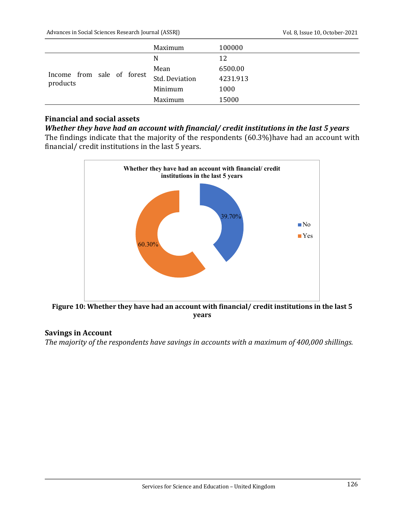|                                        | Maximum               | 100000   |
|----------------------------------------|-----------------------|----------|
| Income from sale of forest<br>products | N                     | 12       |
|                                        | Mean                  | 6500.00  |
|                                        | <b>Std. Deviation</b> | 4231.913 |
|                                        | Minimum               | 1000     |
|                                        | Maximum               | 15000    |

## **Financial and social assets**

### *Whether they have had an account with financial/ credit institutions in the last 5 years*

The findings indicate that the majority of the respondents  $(60.3%)$  have had an account with financial/ credit institutions in the last 5 years.



Figure 10: Whether they have had an account with financial/ credit institutions in the last 5 **years**

### **Savings in Account**

The majority of the respondents have savings in accounts with a maximum of 400,000 shillings.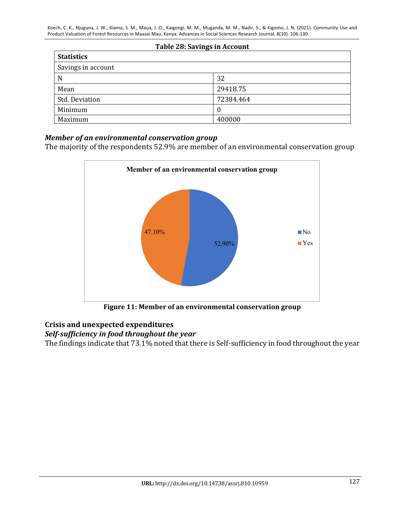| Table 28: Savings in Account |           |  |  |
|------------------------------|-----------|--|--|
| <b>Statistics</b>            |           |  |  |
| Savings in account           |           |  |  |
| N                            | 32        |  |  |
| Mean                         | 29418.75  |  |  |
| Std. Deviation               | 72384.464 |  |  |
| Minimum                      | 0         |  |  |
| Maximum                      | 400000    |  |  |

### *Member of an environmental conservation group*

The majority of the respondents 52.9% are member of an environmental conservation group



Figure 11: Member of an environmental conservation group

# **Crisis and unexpected expenditures**

# Self-sufficiency in food throughout the year

The findings indicate that 73.1% noted that there is Self-sufficiency in food throughout the year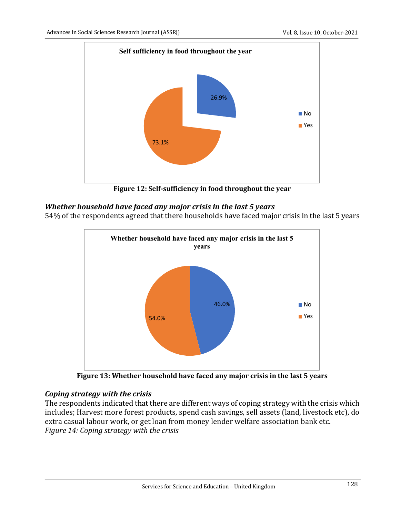

Figure 12: Self-sufficiency in food throughout the year

# Whether household have faced any major crisis in the last 5 years

54% of the respondents agreed that there households have faced major crisis in the last 5 years



**Figure 13: Whether household have faced any major crisis in the last 5 years** 

## *Coping strategy with the crisis*

The respondents indicated that there are different ways of coping strategy with the crisis which includes; Harvest more forest products, spend cash savings, sell assets (land, livestock etc), do extra casual labour work, or get loan from money lender welfare association bank etc. *Figure 14: Coping strategy with the crisis*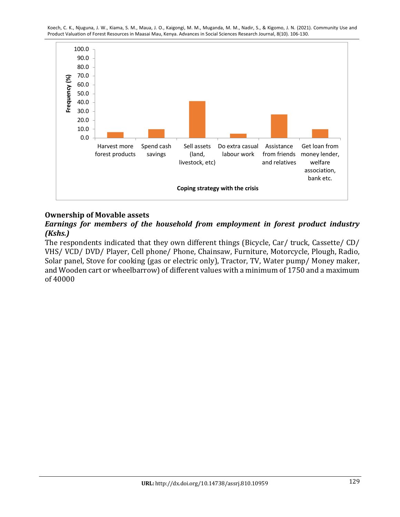

### **Ownership of Movable assets**

# *Earnings for members of the household from employment in forest product industry (Kshs.)*

The respondents indicated that they own different things (Bicycle, Car/ truck, Cassette/ CD/ VHS/ VCD/ DVD/ Player, Cell phone/ Phone, Chainsaw, Furniture, Motorcycle, Plough, Radio, Solar panel, Stove for cooking (gas or electric only), Tractor, TV, Water pump/ Money maker, and Wooden cart or wheelbarrow) of different values with a minimum of 1750 and a maximum of 40000